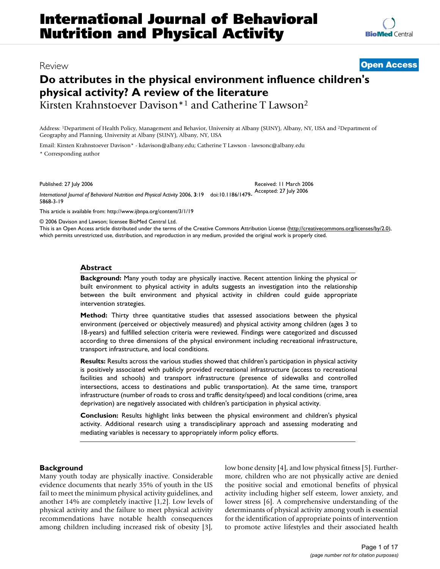# Review **[Open Access](http://www.biomedcentral.com/info/about/charter/)**

**[BioMed](http://www.biomedcentral.com/)** Central

# **Do attributes in the physical environment influence children's physical activity? A review of the literature**

Kirsten Krahnstoever Davison<sup>\*1</sup> and Catherine T Lawson<sup>2</sup>

Address: 1Department of Health Policy, Management and Behavior, University at Albany (SUNY), Albany, NY, USA and 2Department of Geography and Planning, University at Albany (SUNY), Albany, NY, USA

Email: Kirsten Krahnstoever Davison\* - kdavison@albany.edu; Catherine T Lawson - lawsonc@albany.edu \* Corresponding author

Published: 27 July 2006

*International Journal of Behavioral Nutrition and Physical Activity* 2006, **3**:19 doi:10.1186/1479- Accepted: 27 July 2006 5868-3-19

[This article is available from: http://www.ijbnpa.org/content/3/1/19](http://www.ijbnpa.org/content/3/1/19)

© 2006 Davison and Lawson; licensee BioMed Central Ltd.

This is an Open Access article distributed under the terms of the Creative Commons Attribution License [\(http://creativecommons.org/licenses/by/2.0\)](http://creativecommons.org/licenses/by/2.0), which permits unrestricted use, distribution, and reproduction in any medium, provided the original work is properly cited.

Received: 11 March 2006

#### **Abstract**

**Background:** Many youth today are physically inactive. Recent attention linking the physical or built environment to physical activity in adults suggests an investigation into the relationship between the built environment and physical activity in children could guide appropriate intervention strategies.

**Method:** Thirty three quantitative studies that assessed associations between the physical environment (perceived or objectively measured) and physical activity among children (ages 3 to 18-years) and fulfilled selection criteria were reviewed. Findings were categorized and discussed according to three dimensions of the physical environment including recreational infrastructure, transport infrastructure, and local conditions.

**Results:** Results across the various studies showed that children's participation in physical activity is positively associated with publicly provided recreational infrastructure (access to recreational facilities and schools) and transport infrastructure (presence of sidewalks and controlled intersections, access to destinations and public transportation). At the same time, transport infrastructure (number of roads to cross and traffic density/speed) and local conditions (crime, area deprivation) are negatively associated with children's participation in physical activity.

**Conclusion:** Results highlight links between the physical environment and children's physical activity. Additional research using a transdisciplinary approach and assessing moderating and mediating variables is necessary to appropriately inform policy efforts.

#### **Background**

Many youth today are physically inactive. Considerable evidence documents that nearly 35% of youth in the US fail to meet the minimum physical activity guidelines, and another 14% are completely inactive [1,2]. Low levels of physical activity and the failure to meet physical activity recommendations have notable health consequences among children including increased risk of obesity [3], low bone density [4], and low physical fitness [5]. Furthermore, children who are not physically active are denied the positive social and emotional benefits of physical activity including higher self esteem, lower anxiety, and lower stress [6]. A comprehensive understanding of the determinants of physical activity among youth is essential for the identification of appropriate points of intervention to promote active lifestyles and their associated health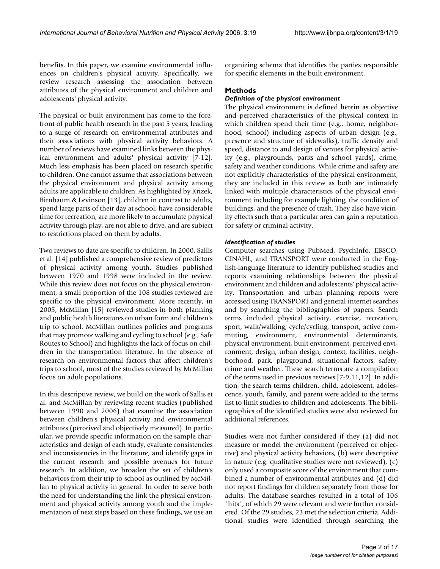benefits. In this paper, we examine environmental influences on children's physical activity. Specifically, we review research assessing the association between attributes of the physical environment and children and adolescents' physical activity.

The physical or built environment has come to the forefront of public health research in the past 5 years, leading to a surge of research on environmental attributes and their associations with physical activity behaviors. A number of reviews have examined links between the physical environment and adults' physical activity [7-12]. Much less emphasis has been placed on research specific to children. One cannot assume that associations between the physical environment and physical activity among adults are applicable to children. As highlighted by Krizek, Birnbaum & Levinson [13], children in contrast to adults, spend large parts of their day at school, have considerable time for recreation, are more likely to accumulate physical activity through play, are not able to drive, and are subject to restrictions placed on them by adults.

Two reviews to date are specific to children. In 2000, Sallis et al. [14] published a comprehensive review of predictors of physical activity among youth. Studies published between 1970 and 1998 were included in the review. While this review does not focus on the physical environment, a small proportion of the 108 studies reviewed are specific to the physical environment. More recently, in 2005, McMillan [15] reviewed studies in both planning and public health literatures on urban form and children's trip to school. McMillan outlines policies and programs that may promote walking and cycling to school (e.g., Safe Routes to School) and highlights the lack of focus on children in the transportation literature. In the absence of research on environmental factors that affect children's trips to school, most of the studies reviewed by McMillan focus on adult populations.

In this descriptive review, we build on the work of Sallis et al. and McMillan by reviewing recent studies (published between 1990 and 2006) that examine the association between children's physical activity and environmental attributes (perceived and objectively measured). In particular, we provide specific information on the sample characteristics and design of each study, evaluate consistencies and inconsistencies in the literature, and identify gaps in the current research and possible avenues for future research. In addition, we broaden the set of children's behaviors from their trip to school as outlined by McMillan to physical activity in general. In order to serve both the need for understanding the link the physical environment and physical activity among youth and the implementation of next steps based on these findings, we use an organizing schema that identifies the parties responsible for specific elements in the built environment.

# **Methods**

# *Definition of the physical environment*

The physical environment is defined herein as objective and perceived characteristics of the physical context in which children spend their time (e.g., home, neighborhood, school) including aspects of urban design (e.g., presence and structure of sidewalks), traffic density and speed, distance to and design of venues for physical activity (e.g., playgrounds, parks and school yards), crime, safety and weather conditions. While crime and safety are not explicitly characteristics of the physical environment, they are included in this review as both are intimately linked with multiple characteristics of the physical environment including for example lighting, the condition of buildings, and the presence of trash. They also have vicinity effects such that a particular area can gain a reputation for safety or criminal activity.

# *Identification of studies*

Computer searches using PubMed, PsychInfo, EBSCO, CINAHL, and TRANSPORT were conducted in the English-language literature to identify published studies and reports examining relationships between the physical environment and children and adolescents' physical activity. Transportation and urban planning reports were accessed using TRANSPORT and general internet searches and by searching the bibliographies of papers. Search terms included physical activity, exercise, recreation, sport, walk/walking, cycle/cycling, transport, active commuting, environment, environmental determinants, physical environment, built environment, perceived environment, design, urban design, context, facilities, neighborhood, park, playground, situational factors, safety, crime and weather. These search terms are a compilation of the terms used in previous reviews [7-9,11,12]. In addition, the search terms children, child, adolescent, adolescence, youth, family, and parent were added to the terms list to limit studies to children and adolescents. The bibliographies of the identified studies were also reviewed for additional references.

Studies were not further considered if they (a) did not measure or model the environment (perceived or objective) and physical activity behaviors, (b) were descriptive in nature (e.g. qualitative studies were not reviewed), (c) only used a composite score of the environment that combined a number of environmental attributes and (d) did not report findings for children separately from those for adults. The database searches resulted in a total of 106 "hits", of which 29 were relevant and were further considered. Of the 29 studies, 23 met the selection criteria. Additional studies were identified through searching the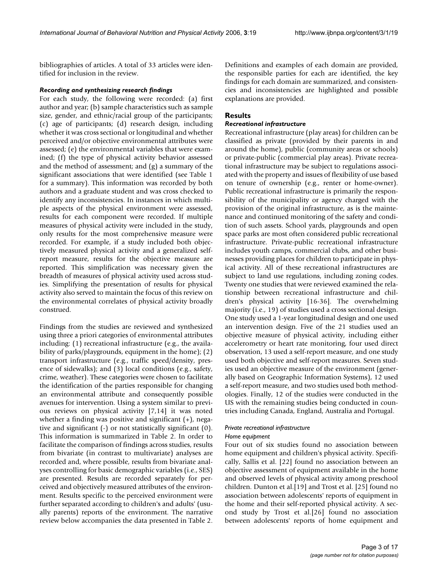bibliographies of articles. A total of 33 articles were identified for inclusion in the review.

#### *Recording and synthesizing research findings*

For each study, the following were recorded: (a) first author and year; (b) sample characteristics such as sample size, gender, and ethnic/racial group of the participants; (c) age of participants; (d) research design, including whether it was cross sectional or longitudinal and whether perceived and/or objective environmental attributes were assessed; (e) the environmental variables that were examined; (f) the type of physical activity behavior assessed and the method of assessment; and (g) a summary of the significant associations that were identified (see Table 1 for a summary). This information was recorded by both authors and a graduate student and was cross checked to identify any inconsistencies. In instances in which multiple aspects of the physical environment were assessed, results for each component were recorded. If multiple measures of physical activity were included in the study, only results for the most comprehensive measure were recorded. For example, if a study included both objectively measured physical activity and a generalized selfreport measure, results for the objective measure are reported. This simplification was necessary given the breadth of measures of physical activity used across studies. Simplifying the presentation of results for physical activity also served to maintain the focus of this review on the environmental correlates of physical activity broadly construed.

Findings from the studies are reviewed and synthesized using three a priori categories of environmental attributes including: (1) recreational infrastructure (e.g., the availability of parks/playgrounds, equipment in the home); (2) transport infrastructure (e.g., traffic speed/density, presence of sidewalks); and (3) local conditions (e.g., safety, crime, weather). These categories were chosen to facilitate the identification of the parties responsible for changing an environmental attribute and consequently possible avenues for intervention. Using a system similar to previous reviews on physical activity [7,14] it was noted whether a finding was positive and significant (+), negative and significant (-) or not statistically significant (0). This information is summarized in Table 2. In order to facilitate the comparison of findings across studies, results from bivariate (in contrast to multivariate) analyses are recorded and, where possible, results from bivariate analyses controlling for basic demographic variables (i.e., SES) are presented. Results are recorded separately for perceived and objectively measured attributes of the environment. Results specific to the perceived environment were further separated according to children's and adults' (usually parents) reports of the environment. The narrative review below accompanies the data presented in Table 2.

Definitions and examples of each domain are provided, the responsible parties for each are identified, the key findings for each domain are summarized, and consistencies and inconsistencies are highlighted and possible explanations are provided.

# **Results**

### *Recreational infrastructure*

Recreational infrastructure (play areas) for children can be classified as private (provided by their parents in and around the home), public (community areas or schools) or private-public (commercial play areas). Private recreational infrastructure may be subject to regulations associated with the property and issues of flexibility of use based on tenure of ownership (e.g., renter or home-owner). Public recreational infrastructure is primarily the responsibility of the municipality or agency charged with the provision of the original infrastructure, as is the maintenance and continued monitoring of the safety and condition of such assets. School yards, playgrounds and open space parks are most often considered public recreational infrastructure. Private-public recreational infrastructure includes youth camps, commercial clubs, and other businesses providing places for children to participate in physical activity. All of these recreational infrastructures are subject to land use regulations, including zoning codes. Twenty one studies that were reviewed examined the relationship between recreational infrastructure and children's physical activity [16-36]. The overwhelming majority (i.e., 19) of studies used a cross sectional design. One study used a 1-year longitudinal design and one used an intervention design. Five of the 21 studies used an objective measure of physical activity, including either accelerometry or heart rate monitoring, four used direct observation, 13 used a self-report measure, and one study used both objective and self-report measures. Seven studies used an objective measure of the environment (generally based on Geographic Information Systems), 12 used a self-report measure, and two studies used both methodologies. Finally, 12 of the studies were conducted in the US with the remaining studies being conducted in countries including Canada, England, Australia and Portugal.

# *Private recreational infrastructure*

#### *Home equipment*

Four out of six studies found no association between home equipment and children's physical activity. Specifically, Sallis et al. [22] found no association between an objective assessment of equipment available in the home and observed levels of physical activity among preschool children. Dunton et al.[19] and Trost et al. [25] found no association between adolescents' reports of equipment in the home and their self-reported physical activity. A second study by Trost et al.[26] found no association between adolescents' reports of home equipment and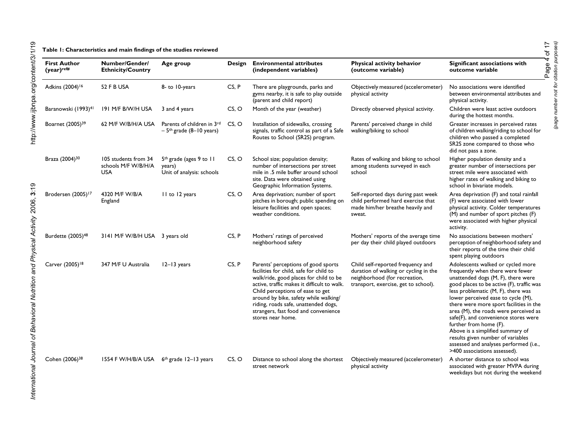| Table I: Characteristics and main findings of the studies reviewed |                                                           |                                                                            |        |                                                                                                                                                                                                                                                                                                                                                           |                                                                                                                                                     |                                                                                                                                                                                                                                                                                                                                                                                                                                                                                                                                               |
|--------------------------------------------------------------------|-----------------------------------------------------------|----------------------------------------------------------------------------|--------|-----------------------------------------------------------------------------------------------------------------------------------------------------------------------------------------------------------------------------------------------------------------------------------------------------------------------------------------------------------|-----------------------------------------------------------------------------------------------------------------------------------------------------|-----------------------------------------------------------------------------------------------------------------------------------------------------------------------------------------------------------------------------------------------------------------------------------------------------------------------------------------------------------------------------------------------------------------------------------------------------------------------------------------------------------------------------------------------|
| <b>First Author</b><br>$(year)$ <sup>ref#</sup>                    | Number/Gender/<br><b>Ethnicity/Country</b>                | Age group                                                                  | Design | <b>Environmental attributes</b><br>(independent variables)                                                                                                                                                                                                                                                                                                | Physical activity behavior<br>(outcome variable)                                                                                                    | Significant associations with<br>outcome variable                                                                                                                                                                                                                                                                                                                                                                                                                                                                                             |
| Adkins (2004) <sup>16</sup>                                        | 52 F B USA                                                | 8- to 10-years                                                             | CS, P  | There are playgrounds, parks and<br>gyms nearby, it is safe to play outside<br>(parent and child report)                                                                                                                                                                                                                                                  | Objectively measured (accelerometer)<br>physical activity                                                                                           | No associations were identified<br>between environmental attributes and<br>physical activity.                                                                                                                                                                                                                                                                                                                                                                                                                                                 |
| Baranowski (1993) <sup>41</sup>                                    | 191 M/F B/W/H USA                                         | 3 and 4 years                                                              | CS, O  | Month of the year (weather)                                                                                                                                                                                                                                                                                                                               | Directly observed physical activity.                                                                                                                | Children were least active outdoors<br>during the hottest months.                                                                                                                                                                                                                                                                                                                                                                                                                                                                             |
| Boarnet (2005) <sup>39</sup>                                       | 62 M/F W/B/H/A USA                                        | Parents of children in 3rd<br>$-5$ <sup>th</sup> grade (8–10 years)        | CS, O  | Installation of sidewalks, crossing<br>signals, traffic control as part of a Safe<br>Routes to School (SR2S) program.                                                                                                                                                                                                                                     | Parents' perceived change in child<br>walking/biking to school                                                                                      | Greater increases in perceived rates<br>of children walking/riding to school for<br>children who passed a completed<br>SR2S zone compared to those who<br>did not pass a zone.                                                                                                                                                                                                                                                                                                                                                                |
| Braza (2004) <sup>30</sup>                                         | 105 students from 34<br>schools M/F W/B/H/A<br><b>USA</b> | 5 <sup>th</sup> grade (ages 9 to 11<br>years)<br>Unit of analysis: schools | CS, O  | School size; population density;<br>number of intersections per street<br>mile in .5 mile buffer around school<br>site. Data were obtained using<br>Geographic Information Systems.                                                                                                                                                                       | Rates of walking and biking to school<br>among students surveyed in each<br>school                                                                  | Higher population density and a<br>greater number of intersections per<br>street mile were associated with<br>higher rates of walking and biking to<br>school in bivariate models.                                                                                                                                                                                                                                                                                                                                                            |
| Brodersen (2005) <sup>17</sup>                                     | 4320 M/F W/B/A<br>England                                 | II to 12 years                                                             | CS, O  | Area deprivation; number of sport<br>pitches in borough; public spending on<br>leisure facilities and open spaces;<br>weather conditions.                                                                                                                                                                                                                 | Self-reported days during past week<br>child performed hard exercise that<br>made him/her breathe heavily and<br>sweat.                             | Area deprivation (F) and total rainfall<br>(F) were associated with lower<br>physical activity. Colder temperatures<br>(M) and number of sport pitches (F)<br>were associated with higher physical<br>activity.                                                                                                                                                                                                                                                                                                                               |
| Burdette (2005) <sup>48</sup>                                      | 3141 M/F W/B/H USA 3 years old                            |                                                                            | CS, P  | Mothers' ratings of perceived<br>neighborhood safety                                                                                                                                                                                                                                                                                                      | Mothers' reports of the average time<br>per day their child played outdoors                                                                         | No associations between mothers'<br>perception of neighborhood safety and<br>their reports of the time their child<br>spent playing outdoors                                                                                                                                                                                                                                                                                                                                                                                                  |
| Carver (2005) <sup>18</sup>                                        | 347 M/F U Australia                                       | $12 - 13$ years                                                            | CS, P  | Parents' perceptions of good sports<br>facilities for child, safe for child to<br>walk/ride, good places for child to be<br>active, traffic makes it difficult to walk.<br>Child perceptions of ease to get<br>around by bike, safety while walking/<br>riding, roads safe, unattended dogs,<br>strangers, fast food and convenience<br>stores near home. | Child self-reported frequency and<br>duration of walking or cycling in the<br>neighborhood (for recreation,<br>transport, exercise, get to school). | Adolescents walked or cycled more<br>frequently when there were fewer<br>unattended dogs (M, F), there were<br>good places to be active (F), traffic was<br>less problematic (M, F), there was<br>lower perceived ease to cycle (M),<br>there were more sport facilities in the<br>area (M), the roads were perceived as<br>safe(F), and convenience stores were<br>further from home (F).<br>Above is a simplified summary of<br>results given number of variables<br>assessed and analyses performed (i.e.,<br>>400 associations assessed). |
| Cohen (2006) <sup>38</sup>                                         |                                                           | 1554 F W/H/B/A USA 6 <sup>th</sup> grade 12-13 years                       | CS, O  | Distance to school along the shortest<br>street network                                                                                                                                                                                                                                                                                                   | Objectively measured (accelerometer)<br>physical activity                                                                                           | A shorter distance to school was<br>associated with greater MVPA during<br>weekdays but not during the weekend                                                                                                                                                                                                                                                                                                                                                                                                                                |

http://www.ijbnpa.org/content/3/1/19

*International Journal of Behavioral Nutrition and Physical Activity* 2006, 3:19 http://www.ijbnpa.org/content/3/1/19 International Journal of Behavioral Nutrition and Physical Activity 2006, 3:19 Page 4 of 17 *(page number not for citation purposes)*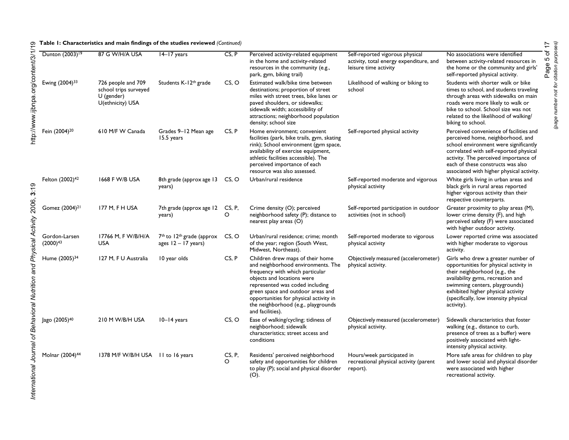#### **Table 1: Characteristics and main findings of the studies reviewed** *(Continued)*

| Dunton (2003) <sup>19</sup>    | 87 G W/H/A USA                                                                  | $14-17$ years                                          | CS, P             | Perceived activity-related equipment<br>in the home and activity-related<br>resources in the community (e.g.,<br>park, gym, biking trail)                                                                                                                                                                            | Self-reported vigorous physical<br>activity, total energy expenditure, and<br>leisure time activity | No associations were identified<br>between activity-related resources in<br>the home or the community and girls'<br>self-reported physical activity.                                                                                                                                       |
|--------------------------------|---------------------------------------------------------------------------------|--------------------------------------------------------|-------------------|----------------------------------------------------------------------------------------------------------------------------------------------------------------------------------------------------------------------------------------------------------------------------------------------------------------------|-----------------------------------------------------------------------------------------------------|--------------------------------------------------------------------------------------------------------------------------------------------------------------------------------------------------------------------------------------------------------------------------------------------|
| Ewing (2004) <sup>33</sup>     | 726 people and 709<br>school trips surveyed<br>$U$ (gender)<br>U(ethnicity) USA | Students K-12 <sup>th</sup> grade                      | CS, O             | Estimated walk/bike time between<br>destinations; proportion of street<br>miles with street trees, bike lanes or<br>paved shoulders, or sidewalks;<br>sidewalk width; accessibility of<br>attractions; neighborhood population<br>density; school size                                                               | Likelihood of walking or biking to<br>school                                                        | Students with shorter walk or bike<br>times to school, and students traveling<br>through areas with sidewalks on main<br>roads were more likely to walk or<br>bike to school. School size was not<br>related to the likelihood of walking/<br>biking to school.                            |
| Fein (2004) <sup>20</sup>      | 610 M/F W Canada                                                                | Grades 9-12 Mean age<br>15.5 years                     | CS, P             | Home environment; convenient<br>facilities (park, bike trails, gym, skating<br>rink); School environment (gym space,<br>availability of exercise equipment,<br>athletic facilities accessible). The<br>perceived importance of each<br>resource was also assessed.                                                   | Self-reported physical activity                                                                     | Perceived convenience of facilities and<br>perceived home, neighborhood, and<br>school environment were significantly<br>correlated with self-reported physical<br>activity. The perceived importance of<br>each of these constructs was also<br>associated with higher physical activity. |
| Felton (2002) <sup>42</sup>    | 1668 F W/B USA                                                                  | 8th grade (approx age 13<br>years)                     | CS, O             | Urban/rural residence                                                                                                                                                                                                                                                                                                | Self-reported moderate and vigorous<br>physical activity                                            | White girls living in urban areas and<br>black girls in rural areas reported<br>higher vigorous activity than their<br>respective counterparts.                                                                                                                                            |
| Gomez (2004) <sup>21</sup>     | 177 M, F H USA                                                                  | 7th grade (approx age 12<br>years)                     | CS, P,<br>$\circ$ | Crime density (O); perceived<br>neighborhood safety (P); distance to<br>nearest play areas (O)                                                                                                                                                                                                                       | Self-reported participation in outdoor<br>activities (not in school)                                | Greater proximity to play areas (M),<br>lower crime density (F), and high<br>perceived safety (F) were associated<br>with higher outdoor activity.                                                                                                                                         |
| Gordon-Larsen<br>$(2000)^{43}$ | 17766 M, F W/B/H/A<br><b>USA</b>                                                | $7th$ to $12th$ grade (approx<br>ages $12 - 17$ years) | CS, O             | Urban/rural residence; crime; month<br>of the year; region (South West,<br>Midwest, Northeast).                                                                                                                                                                                                                      | Self-reported moderate to vigorous<br>physical activity                                             | Lower reported crime was associated<br>with higher moderate to vigorous<br>activity.                                                                                                                                                                                                       |
| Hume (2005) <sup>34</sup>      | 127 M, F U Australia                                                            | 10 year olds                                           | CS, P             | Children drew maps of their home<br>and neighborhood environments. The<br>frequency with which particular<br>objects and locations were<br>represented was coded including<br>green space and outdoor areas and<br>opportunities for physical activity in<br>the neighborhood (e.g., playgrounds<br>and facilities). | Objectively measured (accelerometer)<br>physical activity.                                          | Girls who drew a greater number of<br>opportunities for physical activity in<br>their neighborhood (e.g., the<br>availability gyms, recreation and<br>swimming centers, playgrounds)<br>exhibited higher physical activity<br>(specifically, low intensity physical<br>activity).          |
| Jago (2005) <sup>40</sup>      | 210 M W/B/H USA                                                                 | $10 - 14$ years                                        | CS, O             | Ease of walking/cycling; tidiness of<br>neighborhood; sidewalk<br>characteristics; street access and<br>conditions                                                                                                                                                                                                   | Objectively measured (accelerometer)<br>physical activity.                                          | Sidewalk characteristics that foster<br>walking (e.g., distance to curb,<br>presence of trees as a buffer) were<br>positively associated with light-<br>intensity physical activity.                                                                                                       |
| Molnar (2004) <sup>44</sup>    | 1378 M/F W/B/H USA   II to 16 years                                             |                                                        | CS, P,<br>$\circ$ | Residents' perceived neighborhood<br>safety and opportunities for children<br>to play (P); social and physical disorder<br>(O).                                                                                                                                                                                      | Hours/week participated in<br>recreational physical activity (parent<br>report).                    | More safe areas for children to play<br>and lower social and physical disorder<br>were associated with higher<br>recreational activity.                                                                                                                                                    |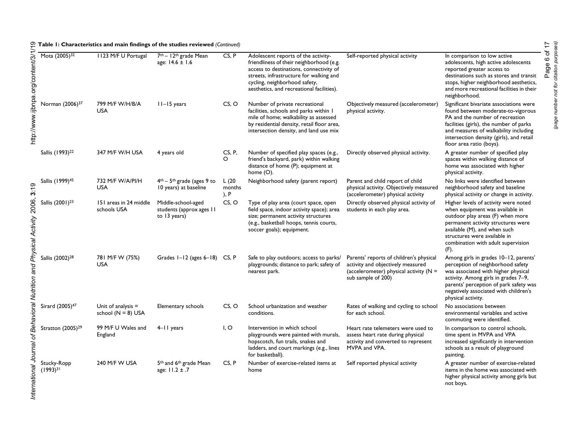| Table 1: Characteristics and main findings of the studies reviewed (Continued) |  |  |  |
|--------------------------------------------------------------------------------|--|--|--|
|--------------------------------------------------------------------------------|--|--|--|

|                                                                                |                              |                                              | Table I: Characteristics and main findings of the studies reviewed (Continued) |                         |                                                                                                                                                                                                                                                     |                                                                                                                                                 |                                                                                                                                                                                                                                                                              |
|--------------------------------------------------------------------------------|------------------------------|----------------------------------------------|--------------------------------------------------------------------------------|-------------------------|-----------------------------------------------------------------------------------------------------------------------------------------------------------------------------------------------------------------------------------------------------|-------------------------------------------------------------------------------------------------------------------------------------------------|------------------------------------------------------------------------------------------------------------------------------------------------------------------------------------------------------------------------------------------------------------------------------|
| http://www.ijbnpa.org/content/3/1/19                                           | Mota (2005) <sup>32</sup>    | 1123 M/F U Portugal                          | 7 <sup>th</sup> - 12 <sup>th</sup> grade Mean<br>age: $14.6 \pm 1.6$           | CS, P                   | Adolescent reports of the activity-<br>friendliness of their neighborhood (e.g.<br>access to destinations, connectivity of<br>streets, infrastructure for walking and<br>cycling, neighborhood safety,<br>aesthetics, and recreational facilities). | Self-reported physical activity                                                                                                                 | In comparison to low active<br>adolescents, high active adolescents<br>reported greater access to<br>destinations such as stores and transit<br>stops, higher neighborhood aesthetics,<br>and more recreational facilities in their<br>neighborhood.                         |
|                                                                                | Norman (2006) <sup>37</sup>  | 799 M/F W/H/B/A<br><b>USA</b>                | $11 - 15$ years                                                                | CS, O                   | Number of private recreational<br>facilities, schools and parks within I<br>mile of home; walkability as assessed<br>by residential density, retail floor area,<br>intersection density, and land use mix                                           | Objectively measured (accelerometer)<br>physical activity.                                                                                      | Significant bivariate associations were<br>found between moderate-to-vigorous<br>PA and the number of recreation<br>facilities (girls), the number of parks<br>and measures of walkability including<br>intersection density (girls), and retail<br>floor area ratio (boys). |
|                                                                                | Sallis (1993) <sup>22</sup>  | 347 M/F W/H USA                              | 4 years old                                                                    | CS, P,<br>O             | Number of specified play spaces (e.g.,<br>friend's backyard, park) within walking<br>distance of home (P); equipment at<br>home $(O)$ .                                                                                                             | Directly observed physical activity.                                                                                                            | A greater number of specified play<br>spaces within walking distance of<br>home was associated with higher<br>physical activity.                                                                                                                                             |
|                                                                                | Sallis (1999) <sup>45</sup>  | 732 M/F W/A/PI/H<br><b>USA</b>               | $4th - 5th$ grade (ages 9 to<br>10 years) at baseline                          | L(20)<br>months<br>), P | Neighborhood safety (parent report)                                                                                                                                                                                                                 | Parent and child report of child<br>physical activity. Objectively measured<br>(accelerometer) physical activity                                | No links were identified between<br>neighborhood safety and baseline<br>physical activity or change in activity.                                                                                                                                                             |
| International Journal of Behavioral Nutrition and Physical Activity 2006, 3:19 | Sallis (2001) <sup>23</sup>  | 151 areas in 24 middle<br>schools USA        | Middle-school-aged<br>students (approx ages 11<br>to 13 years)                 | CS, O                   | Type of play area (court space, open<br>field space, indoor activity space); area<br>size; permanent activity structures<br>(e.g., basketball hoops, tennis courts,<br>soccer goals); equipment.                                                    | Directly observed physical activity of<br>students in each play area.                                                                           | Higher levels of activity were noted<br>when equipment was available in<br>outdoor play areas (F) when more<br>permanent activity structures were<br>available (M), and when such<br>structures were available in<br>combination with adult supervision<br>$(F)$ .           |
|                                                                                | Sallis (2002) <sup>28</sup>  | 781 M/F W (75%)<br><b>USA</b>                | Grades I-12 (ages 6-18) CS, P                                                  |                         | Safe to play outdoors; access to parks/<br>playgrounds; distance to park; safety of<br>nearest park.                                                                                                                                                | Parents' reports of children's physical<br>activity and objectively measured<br>(accelerometer) physical activity ( $N =$<br>sub sample of 200) | Among girls in grades 10-12, parents'<br>perception of neighborhood safety<br>was associated with higher physical<br>activity. Among girls in grades 7-9,<br>parents' perception of park safety was<br>negatively associated with children's<br>physical activity.           |
|                                                                                | Sirard (2005) <sup>47</sup>  | Unit of analysis $=$<br>school $(N = 8)$ USA | Elementary schools                                                             | CS, O                   | School urbanization and weather<br>conditions.                                                                                                                                                                                                      | Rates of walking and cycling to school<br>for each school.                                                                                      | No associations between<br>environmental variables and active<br>commuting were identified.                                                                                                                                                                                  |
|                                                                                | Stratton $(2005)^{29}$       | 99 M/F U Wales and<br>England                | $4-11$ years                                                                   | I, O                    | Intervention in which school<br>playgrounds were painted with murals,<br>hopscotch, fun trails, snakes and<br>ladders, and court markings (e.g., lines<br>for basketball).                                                                          | Heart rate telemeters were used to<br>assess heart rate during physical<br>activity and converted to represent<br>MVPA and VPA.                 | In comparison to control schools,<br>time spent in MVPA and VPA<br>increased significantly in intervention<br>schools as a result of playground<br>painting.                                                                                                                 |
|                                                                                | Stucky-Ropp<br>$(1993)^{31}$ | 240 M/F W USA                                | 5 <sup>th</sup> and 6 <sup>th</sup> grade Mean<br>age: $11.2 \pm .7$           | CS, P                   | Number of exercise-related items at<br>home                                                                                                                                                                                                         | Self reported physical activity                                                                                                                 | A greater number of exercise-related<br>items in the home was associated with<br>higher physical activity among girls but<br>not boys.                                                                                                                                       |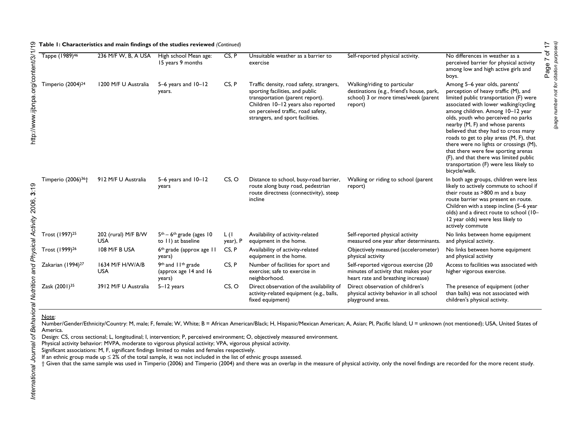| Tappe (1989) <sup>46</sup>                 | 236 M/F W, B, A USA               | High school Mean age:<br>15 years 9 months                                    | CS, P            | Unsuitable weather as a barrier to<br>exercise                                                                                                                                                                                 | Self-reported physical activity.                                                                                             | No differences in weather as a<br>perceived barrier for physical activity<br>among low and high active girls and                                                                                                                                                                                                                                                                                                                                                                                                                                        |
|--------------------------------------------|-----------------------------------|-------------------------------------------------------------------------------|------------------|--------------------------------------------------------------------------------------------------------------------------------------------------------------------------------------------------------------------------------|------------------------------------------------------------------------------------------------------------------------------|---------------------------------------------------------------------------------------------------------------------------------------------------------------------------------------------------------------------------------------------------------------------------------------------------------------------------------------------------------------------------------------------------------------------------------------------------------------------------------------------------------------------------------------------------------|
| Timperio (2004) <sup>24</sup>              | 1200 M/F U Australia              | $5-6$ years and $10-12$<br>years.                                             | CS, P            | Traffic density, road safety, strangers,<br>sporting facilities, and public<br>transportation (parent report).<br>Children 10-12 years also reported<br>on perceived traffic, road safety,<br>strangers, and sport facilities. | Walking/riding to particular<br>destinations (e.g., friend's house, park,<br>school) 3 or more times/week (parent<br>report) | boys.<br>Among 5-6 year olds, parents'<br>perception of heavy traffic (M), and<br>limited public transportation (F) were<br>associated with lower walking/cycling<br>among children. Among 10-12 year<br>olds, youth who perceived no parks<br>nearby (M, F) and whose parents<br>believed that they had to cross many<br>roads to get to play areas (M, F), that<br>there were no lights or crossings (M),<br>that there were few sporting arenas<br>(F), and that there was limited public<br>transportation (F) were less likely to<br>bicycle/walk. |
| Timperio (2006) <sup>36</sup> <sup>+</sup> | 912 M/F U Australia               | $5-6$ years and $10-12$<br>years                                              | CS, O            | Distance to school, busy-road barrier,<br>route along busy road, pedestrian<br>route directness (connectivity), steep<br>incline                                                                                               | Walking or riding to school (parent<br>report)                                                                               | In both age groups, children were less<br>likely to actively commute to school if<br>their route as >800 m and a busy<br>route barrier was present en route.<br>Children with a steep incline (5-6 year<br>olds) and a direct route to school (10-<br>12 year olds) were less likely to<br>actively commute                                                                                                                                                                                                                                             |
| Trost (1997) <sup>25</sup>                 | 202 (rural) M/F B/W<br><b>USA</b> | $5th - 6th$ grade (ages 10<br>to 11) at baseline                              | L(1)<br>year), P | Availability of activity-related<br>equipment in the home.                                                                                                                                                                     | Self-reported physical activity<br>measured one year after determinants.                                                     | No links between home equipment<br>and physical activity.                                                                                                                                                                                                                                                                                                                                                                                                                                                                                               |
| Trost (1999) <sup>26</sup>                 | 108 M/F B USA                     | $6th$ grade (approx age $11$<br>years)                                        | CS, P            | Availability of activity-related<br>equipment in the home.                                                                                                                                                                     | Objectively measured (accelerometer)<br>physical activity                                                                    | No links between home equipment<br>and physical activity                                                                                                                                                                                                                                                                                                                                                                                                                                                                                                |
| Zakarian (1994) <sup>27</sup>              | 1634 M/F H/W/A/B<br><b>USA</b>    | 9 <sup>th</sup> and 11 <sup>th</sup> grade<br>(approx age 14 and 16<br>years) | CS, P            | Number of facilities for sport and<br>exercise; safe to exercise in<br>neighborhood.                                                                                                                                           | Self-reported vigorous exercise (20<br>minutes of activity that makes your<br>heart rate and breathing increase)             | Access to facilities was associated with<br>higher vigorous exercise.                                                                                                                                                                                                                                                                                                                                                                                                                                                                                   |
| Zask (2001) <sup>35</sup>                  | 3912 M/F U Australia              | $5 - 12$ years                                                                | CS, O            | Direct observation of the availability of<br>activity-related equipment (e.g., balls,<br>fixed equipment)                                                                                                                      | Direct observation of children's<br>physical activity behavior in all school<br>playground areas.                            | The presence of equipment (other<br>than balls) was not associated with<br>children's physical activity.                                                                                                                                                                                                                                                                                                                                                                                                                                                |

# Note:

Number/Gender/Ethnicity/Country: M, male; F, female; W, White; B = African American/Black; H, Hispanic/Mexican American; A, Asian; PI, Pacific Island; U = unknown (not mentioned); USA, United States of America.

Design: CS, cross sectional; L, longitudinal; I, intervention; P, perceived environment; O, objectively measured environment.

Physical activity behavior: MVPA, moderate to vigorous physical activity; VPA, vigorous physical activity.

Significant associations: M, F, significant findings limited to males and females respectively.

If an ethnic group made up  $\leq 2\%$  of the total sample, it was not included in the list of ethnic groups assessed.

† Given that the same sample was used in Timperio (2006) and Timperio (2004) and there was an overlap in the measure of physical activity, only the novel findings are recorded for the more recent study.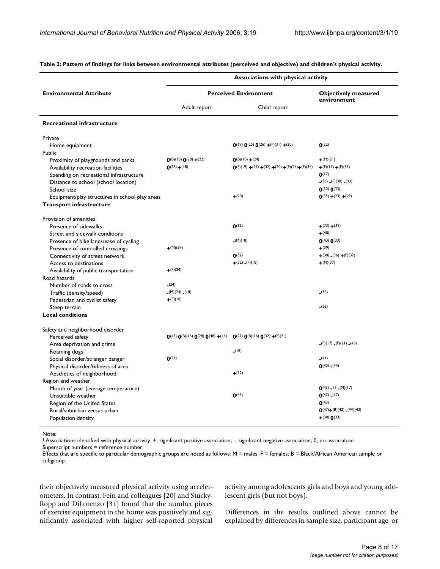|                                                | Associations with physical activity              |                                                     |                                |  |  |  |
|------------------------------------------------|--------------------------------------------------|-----------------------------------------------------|--------------------------------|--|--|--|
| <b>Environmental Attribute</b>                 | <b>Perceived Environment</b>                     | <b>Objectively measured</b><br>environment          |                                |  |  |  |
|                                                | Adult report                                     | Child report                                        |                                |  |  |  |
| <b>Recreational infrastructure</b>             |                                                  |                                                     |                                |  |  |  |
| Private                                        |                                                  |                                                     |                                |  |  |  |
| Home equipment                                 |                                                  | $0(19) 0(25) 0(26) + (F)(31) + (20)$                | O(22)                          |  |  |  |
| Public                                         |                                                  |                                                     |                                |  |  |  |
| Proximity of playgrounds and parks             | $O^{(B)(16)} O^{(28)} + (22)$                    | $O^{(B)(16)} + (24)$                                | $+(M)(21)$                     |  |  |  |
| Availability recreation facilities             | $0(28) + (18)$                                   | $O(F)(19) + (27) + (32) + (20) + (F)(24) + (F)(34)$ | $+(F)(17) + (F)(37)$           |  |  |  |
| Spending on recreational infrastructure        |                                                  |                                                     | $0^{(17)}$                     |  |  |  |
| Distance to school (school location)           |                                                  |                                                     | $(36)$ $(F)(38)$ $(33)$        |  |  |  |
| School size                                    |                                                  |                                                     | $0^{(30)} 0^{(33)}$            |  |  |  |
| Equipment/play structures in school play areas |                                                  | $+(20)$                                             | $(35) + (23) + (29)$           |  |  |  |
| Transport infrastructure                       |                                                  |                                                     |                                |  |  |  |
| Provision of amenities                         |                                                  |                                                     |                                |  |  |  |
| Presence of sidewalks                          |                                                  | $0^{(32)}$                                          | $+(33) + (39)$                 |  |  |  |
| Street and sidewalk conditions                 |                                                  |                                                     | $+(40)$                        |  |  |  |
| Presence of bike lanes/ease of cycling         |                                                  | (M)(18)                                             | $0^{(40)} 0^{(33)}$            |  |  |  |
| Presence of controlled crossings               | $+(M)(24)$                                       |                                                     | $+(39)$                        |  |  |  |
| Connectivity of street network                 |                                                  | O(32)                                               | $+(30)$ $-(36) + (F)(37)$      |  |  |  |
| Access to destinations                         |                                                  | $+(32)$ $($ F $)(18)$                               | $+(M)(37)$                     |  |  |  |
| Availability of public transportation          | $+(F)(24)$                                       |                                                     |                                |  |  |  |
| Road hazards                                   |                                                  |                                                     |                                |  |  |  |
| Number of roads to cross                       | (24)                                             |                                                     |                                |  |  |  |
| Traffic (density/speed)                        | $(M)(24)$ $(18)$                                 |                                                     | (36)                           |  |  |  |
| Pedestrian and cyclist safety                  | $+(F)(18)$                                       |                                                     |                                |  |  |  |
| Steep terrain                                  |                                                  |                                                     | (36)                           |  |  |  |
| <b>Local conditions</b>                        |                                                  |                                                     |                                |  |  |  |
| Safety and neighborhood disorder               |                                                  |                                                     |                                |  |  |  |
| Perceived safety                               | $(0^{(45)} 0^{(B)(16)} 0^{(28)} 0^{(48)} + (44)$ | $Q(27) Q(B)(16) Q(32) + (F)(21)$                    |                                |  |  |  |
| Area deprivation and crime                     |                                                  |                                                     | $(43)$ $(17)$ $(1)(21)$ $(43)$ |  |  |  |
| Roaming dogs                                   |                                                  | (18)                                                |                                |  |  |  |
| Social disorder/stranger danger                | O(24)                                            |                                                     | (44)                           |  |  |  |
| Physical disorder/tidiness of area             |                                                  |                                                     | $0(40)$ - (44)                 |  |  |  |
| Aesthetics of neighborhood                     |                                                  | $+(32)$                                             |                                |  |  |  |
| Region and weather                             |                                                  |                                                     |                                |  |  |  |
| Month of year (average temperature)            |                                                  |                                                     | $(43)$ $-11$ $- (M)(17)$       |  |  |  |
| Unsuitable weather                             |                                                  | $0^{(46)}$                                          | $0^{(47)}$ - (17)              |  |  |  |
| Region of the United States                    |                                                  |                                                     | $O(43)$                        |  |  |  |
| Rural/suburban versus urban                    |                                                  |                                                     | $(47) + (B)(42) - (W)(42)$     |  |  |  |
| Population density                             |                                                  |                                                     | $+$ (30) $0$ (33)              |  |  |  |

**Table 2: Pattern of findings for links between environmental attributes (perceived and objective) and children's physical activity.**

Note:

<sup>1</sup> Associations identified with physical activity: +, significant positive association; -, significant negative association; 0, no association.

Superscript numbers = reference number.

Effects that are specific to particular demographic groups are noted as follows: M = males; F = females; B = Black/African American sample or subgroup

their objectively measured physical activity using accelerometers. In contrast, Fein and colleagues [20] and Stucky-Ropp and DiLorenzo [31] found that the number pieces of exercise equipment in the home was positively and significantly associated with higher self-reported physical

activity among adolescents girls and boys and young adolescent girls (but not boys).

Differences in the results outlined above cannot be explained by differences in sample size, participant age, or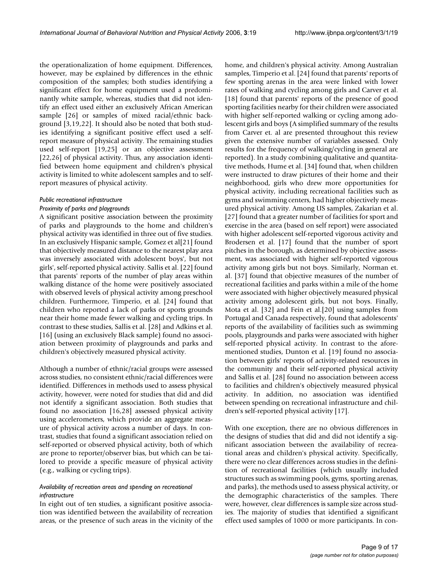the operationalization of home equipment. Differences, however, may be explained by differences in the ethnic composition of the samples; both studies identifying a significant effect for home equipment used a predominantly white sample, whereas, studies that did not identify an effect used either an exclusively African American sample [26] or samples of mixed racial/ethnic background [3,19,22]. It should also be noted that both studies identifying a significant positive effect used a selfreport measure of physical activity. The remaining studies used self-report [19,25] or an objective assessment [22,26] of physical activity. Thus, any association identified between home equipment and children's physical activity is limited to white adolescent samples and to selfreport measures of physical activity.

# *Public recreational infrastructure Proximity of parks and playgrounds*

A significant positive association between the proximity of parks and playgrounds to the home and children's physical activity was identified in three out of five studies. In an exclusively Hispanic sample, Gomez et al[21] found that objectively measured distance to the nearest play area was inversely associated with adolescent boys', but not girls', self-reported physical activity. Sallis et al. [22] found that parents' reports of the number of play areas within walking distance of the home were positively associated with observed levels of physical activity among preschool children. Furthermore, Timperio, et al. [24] found that children who reported a lack of parks or sports grounds near their home made fewer walking and cycling trips. In contrast to these studies, Sallis et al. [28] and Adkins et al. [16] (using an exclusively Black sample) found no association between proximity of playgrounds and parks and children's objectively measured physical activity.

Although a number of ethnic/racial groups were assessed across studies, no consistent ethnic/racial differences were identified. Differences in methods used to assess physical activity, however, were noted for studies that did and did not identify a significant association. Both studies that found no association [16,28] assessed physical activity using accelerometers, which provide an aggregate measure of physical activity across a number of days. In contrast, studies that found a significant association relied on self-reported or observed physical activity, both of which are prone to reporter/observer bias, but which can be tailored to provide a specific measure of physical activity (e.g., walking or cycling trips).

# *Availability of recreation areas and spending on recreational infrastructure*

In eight out of ten studies, a significant positive association was identified between the availability of recreation areas, or the presence of such areas in the vicinity of the home, and children's physical activity. Among Australian samples, Timperio et al. [24] found that parents' reports of few sporting arenas in the area were linked with lower rates of walking and cycling among girls and Carver et al. [18] found that parents' reports of the presence of good sporting facilities nearby for their children were associated with higher self-reported walking or cycling among adolescent girls and boys (A simplified summary of the results from Carver et. al are presented throughout this review given the extensive number of variables assessed. Only results for the frequency of walking/cycling in general are reported). In a study combining qualitative and quantitative methods, Hume et al. [34] found that, when children were instructed to draw pictures of their home and their neighborhood, girls who drew more opportunities for physical activity, including recreational facilities such as gyms and swimming centers, had higher objectively measured physical activity. Among US samples, Zakarian et al. [27] found that a greater number of facilities for sport and exercise in the area (based on self report) were associated with higher adolescent self-reported vigorous activity and Brodersen et al. [17] found that the number of sport pitches in the borough, as determined by objective assessment, was associated with higher self-reported vigorous activity among girls but not boys. Similarly, Norman et. al. [37] found that objective measures of the number of recreational facilities and parks within a mile of the home were associated with higher objectively measured physical activity among adolescent girls, but not boys. Finally, Mota et al. [32] and Fein et al.[20] using samples from Portugal and Canada respectively, found that adolescents' reports of the availability of facilities such as swimming pools, playgrounds and parks were associated with higher self-reported physical activity. In contrast to the aforementioned studies, Dunton et al. [19] found no association between girls' reports of activity-related resources in the community and their self-reported physical activity and Sallis et al. [28] found no association between access to facilities and children's objectively measured physical activity. In addition, no association was identified between spending on recreational infrastructure and children's self-reported physical activity [17].

With one exception, there are no obvious differences in the designs of studies that did and did not identify a significant association between the availability of recreational areas and children's physical activity. Specifically, there were no clear differences across studies in the definition of recreational facilities (which usually included structures such as swimming pools, gyms, sporting arenas, and parks), the methods used to assess physical activity, or the demographic characteristics of the samples. There were, however, clear differences is sample size across studies. The majority of studies that identified a significant effect used samples of 1000 or more participants. In con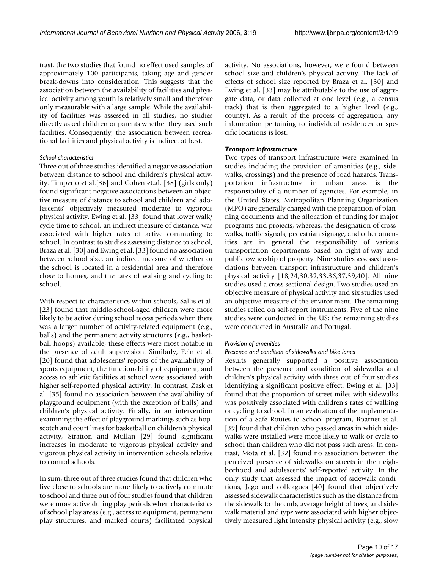trast, the two studies that found no effect used samples of approximately 100 participants, taking age and gender break-downs into consideration. This suggests that the association between the availability of facilities and physical activity among youth is relatively small and therefore only measurable with a large sample. While the availability of facilities was assessed in all studies, no studies directly asked children or parents whether they used such facilities. Consequently, the association between recreational facilities and physical activity is indirect at best.

#### *School characteristics*

Three out of three studies identified a negative association between distance to school and children's physical activity. Timperio et al.[36] and Cohen et.al. [38] (girls only) found significant negative associations between an objective measure of distance to school and children and adolescents' objectively measured moderate to vigorous physical activity. Ewing et al. [33] found that lower walk/ cycle time to school, an indirect measure of distance, was associated with higher rates of active commuting to school. In contrast to studies assessing distance to school, Braza et al. [30] and Ewing et al. [33] found no association between school size, an indirect measure of whether or the school is located in a residential area and therefore close to homes, and the rates of walking and cycling to school.

With respect to characteristics within schools, Sallis et al. [23] found that middle-school-aged children were more likely to be active during school recess periods when there was a larger number of activity-related equipment (e.g., balls) and the permanent activity structures (e.g., basketball hoops) available; these effects were most notable in the presence of adult supervision. Similarly, Fein et al. [20] found that adolescents' reports of the availability of sports equipment, the functionability of equipment, and access to athletic facilities at school were associated with higher self-reported physical activity. In contrast, Zask et al. [35] found no association between the availability of playground equipment (with the exception of balls) and children's physical activity. Finally, in an intervention examining the effect of playground markings such as hopscotch and court lines for basketball on children's physical activity, Stratton and Mullan [29] found significant increases in moderate to vigorous physical activity and vigorous physical activity in intervention schools relative to control schools.

In sum, three out of three studies found that children who live close to schools are more likely to actively commute to school and three out of four studies found that children were more active during play periods when characteristics of school play areas (e.g., access to equipment, permanent play structures, and marked courts) facilitated physical

activity. No associations, however, were found between school size and children's physical activity. The lack of effects of school size reported by Braza et al. [30] and Ewing et al. [33] may be attributable to the use of aggregate data, or data collected at one level (e.g., a census track) that is then aggregated to a higher level (e.g., county). As a result of the process of aggregation, any information pertaining to individual residences or specific locations is lost.

# *Transport infrastructure*

Two types of transport infrastructure were examined in studies including the provision of amenities (e.g., sidewalks, crossings) and the presence of road hazards. Transportation infrastructure in urban areas is the responsibility of a number of agencies. For example, in the United States, Metropolitan Planning Organization (MPO) are generally charged with the preparation of planning documents and the allocation of funding for major programs and projects, whereas, the designation of crosswalks, traffic signals, pedestrian signage, and other amenities are in general the responsibility of various transportation departments based on right-of-way and public ownership of property. Nine studies assessed associations between transport infrastructure and children's physical activity [18,24,30,32,33,36,37,39,40]. All nine studies used a cross sectional design. Two studies used an objective measure of physical activity and six studies used an objective measure of the environment. The remaining studies relied on self-report instruments. Five of the nine studies were conducted in the US; the remaining studies were conducted in Australia and Portugal.

# *Provision of amenities*

# *Presence and condition of sidewalks and bike lanes*

Results generally supported a positive association between the presence and condition of sidewalks and children's physical activity with three out of four studies identifying a significant positive effect. Ewing et al. [33] found that the proportion of street miles with sidewalks was positively associated with children's rates of walking or cycling to school. In an evaluation of the implementation of a Safe Routes to School program, Boarnet et al. [39] found that children who passed areas in which sidewalks were installed were more likely to walk or cycle to school than children who did not pass such areas. In contrast, Mota et al. [32] found no association between the perceived presence of sidewalks on streets in the neighborhood and adolescents' self-reported activity. In the only study that assessed the impact of sidewalk conditions, Jago and colleagues [40] found that objectively assessed sidewalk characteristics such as the distance from the sidewalk to the curb, average height of trees, and sidewalk material and type were associated with higher objectively measured light intensity physical activity (e.g., slow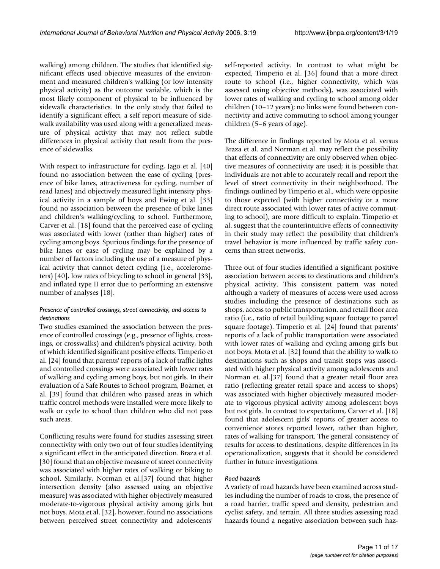walking) among children. The studies that identified significant effects used objective measures of the environment and measured children's walking (or low intensity physical activity) as the outcome variable, which is the most likely component of physical to be influenced by sidewalk characteristics. In the only study that failed to identify a significant effect, a self report measure of sidewalk availability was used along with a generalized measure of physical activity that may not reflect subtle differences in physical activity that result from the presence of sidewalks.

With respect to infrastructure for cycling, Jago et al. [40] found no association between the ease of cycling (presence of bike lanes, attractiveness for cycling, number of read lanes) and objectively measured light intensity physical activity in a sample of boys and Ewing et al. [33] found no association between the presence of bike lanes and children's walking/cycling to school. Furthermore, Carver et al. [18] found that the perceived ease of cycling was associated with lower (rather than higher) rates of cycling among boys. Spurious findings for the presence of bike lanes or ease of cycling may be explained by a number of factors including the use of a measure of physical activity that cannot detect cycling (i.e., accelerometers) [40], low rates of bicycling to school in general [33], and inflated type II error due to performing an extensive number of analyses [18].

# *Presence of controlled crossings, street connectivity, and access to destinations*

Two studies examined the association between the presence of controlled crossings (e.g., presence of lights, crossings, or crosswalks) and children's physical activity, both of which identified significant positive effects. Timperio et al. [24] found that parents' reports of a lack of traffic lights and controlled crossings were associated with lower rates of walking and cycling among boys, but not girls. In their evaluation of a Safe Routes to School program, Boarnet, et al. [39] found that children who passed areas in which traffic control methods were installed were more likely to walk or cycle to school than children who did not pass such areas.

Conflicting results were found for studies assessing street connectivity with only two out of four studies identifying a significant effect in the anticipated direction. Braza et al. [30] found that an objective measure of street connectivity was associated with higher rates of walking or biking to school. Similarly, Norman et al.[37] found that higher intersection density (also assessed using an objective measure) was associated with higher objectively measured moderate-to-vigorous physical activity among girls but not boys. Mota et al. [32], however, found no associations between perceived street connectivity and adolescents'

self-reported activity. In contrast to what might be expected, Timperio et al. [36] found that a more direct route to school (i.e., higher connectivity, which was assessed using objective methods), was associated with lower rates of walking and cycling to school among older children (10–12 years); no links were found between connectivity and active commuting to school among younger children (5–6 years of age).

The difference in findings reported by Mota et al. versus Braza et al. and Norman et al. may reflect the possibility that effects of connectivity are only observed when objective measures of connectivity are used; it is possible that individuals are not able to accurately recall and report the level of street connectivity in their neighborhood. The findings outlined by Timperio et al., which were opposite to those expected (with higher connectivity or a more direct route associated with lower rates of active commuting to school), are more difficult to explain. Timperio et al. suggest that the counterintuitive effects of connectivity in their study may reflect the possibility that children's travel behavior is more influenced by traffic safety concerns than street networks.

Three out of four studies identified a significant positive association between access to destinations and children's physical activity. This consistent pattern was noted although a variety of measures of access were used across studies including the presence of destinations such as shops, access to public transportation, and retail floor area ratio (i.e., ratio of retail building square footage to parcel square footage). Timperio et al. [24] found that parents' reports of a lack of public transportation were associated with lower rates of walking and cycling among girls but not boys. Mota et al. [32] found that the ability to walk to destinations such as shops and transit stops was associated with higher physical activity among adolescents and Norman et. al.[37] found that a greater retail floor area ratio (reflecting greater retail space and access to shops) was associated with higher objectively measured moderate to vigorous physical activity among adolescent boys but not girls. In contrast to expectations, Carver et al. [18] found that adolescent girls' reports of greater access to convenience stores reported lower, rather than higher, rates of walking for transport. The general consistency of results for access to destinations, despite differences in its operationalization, suggests that it should be considered further in future investigations.

# *Road hazards*

A variety of road hazards have been examined across studies including the number of roads to cross, the presence of a road barrier, traffic speed and density, pedestrian and cyclist safety, and terrain. All three studies assessing road hazards found a negative association between such haz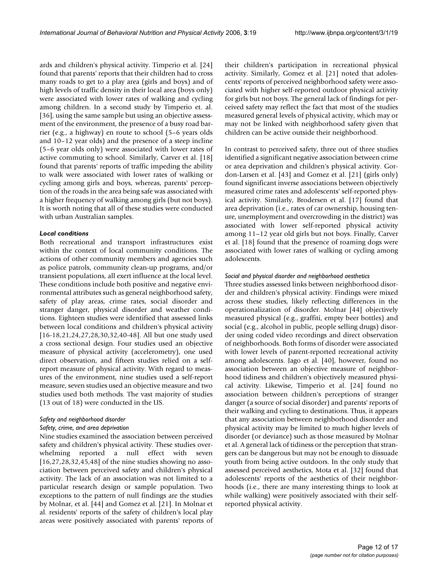ards and children's physical activity. Timperio et al. [24] found that parents' reports that their children had to cross many roads to get to a play area (girls and boys) and of high levels of traffic density in their local area (boys only) were associated with lower rates of walking and cycling among children. In a second study by Timperio et. al. [36], using the same sample but using an objective assessment of the environment, the presence of a busy road barrier (e.g., a highway) en route to school (5–6 years olds and 10–12 year olds) and the presence of a steep incline (5–6 year olds only) were associated with lower rates of active commuting to school. Similarly, Carver et al. [18] found that parents' reports of traffic impeding the ability to walk were associated with lower rates of walking or cycling among girls and boys, whereas, parents' perception of the roads in the area being safe was associated with a higher frequency of walking among girls (but not boys). It is worth noting that all of these studies were conducted with urban Australian samples.

# *Local conditions*

Both recreational and transport infrastructures exist within the context of local community conditions. The actions of other community members and agencies such as police patrols, community clean-up programs, and/or transient populations, all exert influence at the local level. These conditions include both positive and negative environmental attributes such as general neighborhood safety, safety of play areas, crime rates, social disorder and stranger danger, physical disorder and weather conditions. Eighteen studies were identified that assessed links between local conditions and children's physical activity [16-18,21,24,27,28,30,32,40-48]. All but one study used a cross sectional design. Four studies used an objective measure of physical activity (accelerometry), one used direct observation, and fifteen studies relied on a selfreport measure of physical activity. With regard to measures of the environment, nine studies used a self-report measure, seven studies used an objective measure and two studies used both methods. The vast majority of studies (13 out of 18) were conducted in the US.

# *Safety and neighborhood disorder*

# *Safety, crime, and area deprivation*

Nine studies examined the association between perceived safety and children's physical activity. These studies overwhelming reported a null effect with seven  $[16, 27, 28, 32, 45, 48]$  of the nine studies showing no association between perceived safety and children's physical activity. The lack of an association was not limited to a particular research design or sample population. Two exceptions to the pattern of null findings are the studies by Molnar, et al. [44] and Gomez et al. [21]. In Molnar et al. residents' reports of the safety of children's local play areas were positively associated with parents' reports of their children's participation in recreational physical activity. Similarly, Gomez et al. [21] noted that adolescents' reports of perceived neighborhood safety were associated with higher self-reported outdoor physical activity for girls but not boys. The general lack of findings for perceived safety may reflect the fact that most of the studies measured general levels of physical activity, which may or may not be linked with neighborhood safety given that children can be active outside their neighborhood.

In contrast to perceived safety, three out of three studies identified a significant negative association between crime or area deprivation and children's physical activity. Gordon-Larsen et al. [43] and Gomez et al. [21] (girls only) found significant inverse associations between objectively measured crime rates and adolescents' self-reported physical activity. Similarly, Brodersen et al. [17] found that area deprivation (i.e., rates of car ownership, housing tenure, unemployment and overcrowding in the district) was associated with lower self-reported physical activity among 11–12 year old girls but not boys. Finally, Carver et al. [18] found that the presence of roaming dogs were associated with lower rates of walking or cycling among adolescents.

# *Social and physical disorder and neighborhood aesthetics*

Three studies assessed links between neighborhood disorder and children's physical activity. Findings were mixed across these studies, likely reflecting differences in the operationalization of disorder. Molnar [44] objectively measured physical (e.g., graffiti, empty beer bottles) and social (e.g., alcohol in public, people selling drugs) disorder using coded video recordings and direct observation of neighborhoods. Both forms of disorder were associated with lower levels of parent-reported recreational activity among adolescents. Jago et al. [40], however, found no association between an objective measure of neighborhood tidiness and children's objectively measured physical activity. Likewise, Timperio et al. [24] found no association between children's perceptions of stranger danger (a source of social disorder) and parents' reports of their walking and cycling to destinations. Thus, it appears that any association between neighborhood disorder and physical activity may be limited to much higher levels of disorder (or deviance) such as those measured by Molnar et al. A general lack of tidiness or the perception that strangers can be dangerous but may not be enough to dissuade youth from being active outdoors. In the only study that assessed perceived aesthetics, Mota et al. [32] found that adolescents' reports of the aesthetics of their neighborhoods (i.e., there are many interesting things to look at while walking) were positively associated with their selfreported physical activity.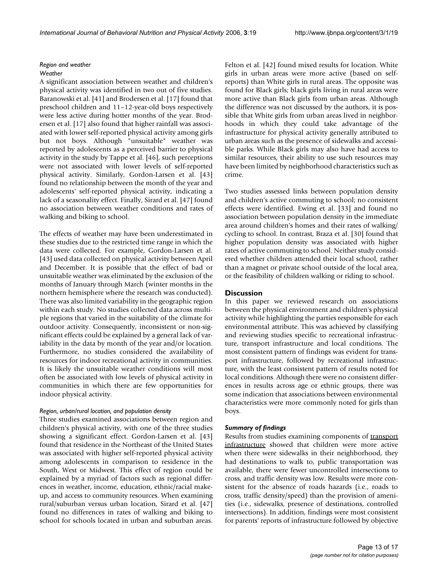#### *Region and weather*

#### *Weather*

A significant association between weather and children's physical activity was identified in two out of five studies. Baranowski et al. [41] and Brodersen et al. [17] found that preschool children and 11–12-year-old boys respectively were less active during hotter months of the year. Brodersen et al. [17] also found that higher rainfall was associated with lower self-reported physical activity among girls but not boys. Although "unsuitable" weather was reported by adolescents as a perceived barrier to physical activity in the study by Tappe et al. [46], such perceptions were not associated with lower levels of self-reported physical activity. Similarly, Gordon-Larsen et al. [43] found no relationship between the month of the year and adolescents' self-reported physical activity, indicating a lack of a seasonality effect. Finally, Sirard et al. [47] found no association between weather conditions and rates of walking and biking to school.

The effects of weather may have been underestimated in these studies due to the restricted time range in which the data were collected. For example, Gordon-Larsen et al. [43] used data collected on physical activity between April and December. It is possible that the effect of bad or unsuitable weather was eliminated by the exclusion of the months of January through March (winter months in the northern hemisphere where the research was conducted). There was also limited variability in the geographic region within each study. No studies collected data across multiple regions that varied in the suitability of the climate for outdoor activity. Consequently, inconsistent or non-significant effects could be explained by a general lack of variability in the data by month of the year and/or location. Furthermore, no studies considered the availability of resources for indoor recreational activity in communities. It is likely the unsuitable weather conditions will most often be associated with low levels of physical activity in communities in which there are few opportunities for indoor physical activity.

#### *Region, urban/rural location, and population density*

Three studies examined associations between region and children's physical activity, with one of the three studies showing a significant effect. Gordon-Larsen et al. [43] found that residence in the Northeast of the United States was associated with higher self-reported physical activity among adolescents in comparison to residence in the South, West or Midwest. This effect of region could be explained by a myriad of factors such as regional differences in weather, income, education, ethnic/racial makeup, and access to community resources. When examining rural/suburban versus urban location, Sirard et al. [47] found no differences in rates of walking and biking to school for schools located in urban and suburban areas.

Felton et al. [42] found mixed results for location. White girls in urban areas were more active (based on selfreports) than White girls in rural areas. The opposite was found for Black girls; black girls living in rural areas were more active than Black girls from urban areas. Although the difference was not discussed by the authors, it is possible that White girls from urban areas lived in neighborhoods in which they could take advantage of the infrastructure for physical activity generally attributed to urban areas such as the presence of sidewalks and accessible parks. While Black girls may also have had access to similar resources, their ability to use such resources may have been limited by neighborhood characteristics such as crime.

Two studies assessed links between population density and children's active commuting to school; no consistent effects were identified. Ewing et al. [33] and found no association between population density in the immediate area around children's homes and their rates of walking/ cycling to school. In contrast, Braza et al. [30] found that higher population density was associated with higher rates of active commuting to school. Neither study considered whether children attended their local school, rather than a magnet or private school outside of the local area, or the feasibility of children walking or riding to school.

#### **Discussion**

In this paper we reviewed research on associations between the physical environment and children's physical activity while highlighting the parties responsible for each environmental attribute. This was achieved by classifying and reviewing studies specific to recreational infrastructure, transport infrastructure and local conditions. The most consistent pattern of findings was evident for transport infrastructure, followed by recreational infrastructure, with the least consistent pattern of results noted for local conditions. Although there were no consistent differences in results across age or ethnic groups, there was some indication that associations between environmental characteristics were more commonly noted for girls than boys.

#### *Summary of findings*

Results from studies examining components of transport infrastructure showed that children were more active when there were sidewalks in their neighborhood, they had destinations to walk to, public transportation was available, there were fewer uncontrolled intersections to cross, and traffic density was low. Results were more consistent for the absence of roads hazards (i.e., roads to cross, traffic density/speed) than the provision of amenities (i.e., sidewalks, presence of destinations, controlled intersections). In addition, findings were most consistent for parents' reports of infrastructure followed by objective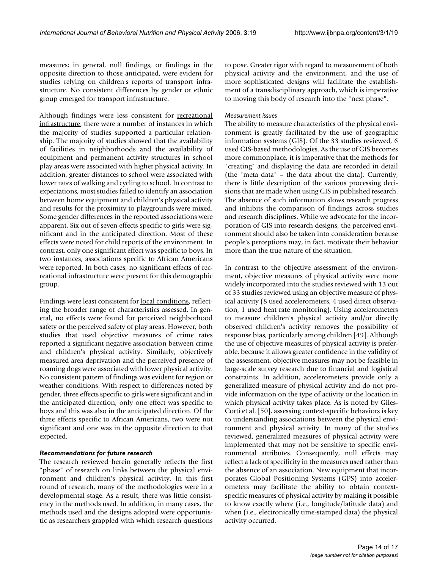measures; in general, null findings, or findings in the opposite direction to those anticipated, were evident for studies relying on children's reports of transport infrastructure. No consistent differences by gender or ethnic group emerged for transport infrastructure.

Although findings were less consistent for recreational infrastructure, there were a number of instances in which the majority of studies supported a particular relationship. The majority of studies showed that the availability of facilities in neighborhoods and the availability of equipment and permanent activity structures in school play areas were associated with higher physical activity. In addition, greater distances to school were associated with lower rates of walking and cycling to school. In contrast to expectations, most studies failed to identify an association between home equipment and children's physical activity and results for the proximity to playgrounds were mixed. Some gender differences in the reported associations were apparent. Six out of seven effects specific to girls were significant and in the anticipated direction. Most of these effects were noted for child reports of the environment. In contrast, only one significant effect was specific to boys. In two instances, associations specific to African Americans were reported. In both cases, no significant effects of recreational infrastructure were present for this demographic group.

Findings were least consistent for local conditions, reflecting the broader range of characteristics assessed. In general, no effects were found for perceived neighborhood safety or the perceived safety of play areas. However, both studies that used objective measures of crime rates reported a significant negative association between crime and children's physical activity. Similarly, objectively measured area deprivation and the perceived presence of roaming dogs were associated with lower physical activity. No consistent pattern of findings was evident for region or weather conditions. With respect to differences noted by gender, three effects specific to girls were significant and in the anticipated direction; only one effect was specific to boys and this was also in the anticipated direction. Of the three effects specific to African Americans, two were not significant and one was in the opposite direction to that expected.

#### *Recommendations for future research*

The research reviewed herein generally reflects the first "phase" of research on links between the physical environment and children's physical activity. In this first round of research, many of the methodologies were in a developmental stage. As a result, there was little consistency in the methods used. In addition, in many cases, the methods used and the designs adopted were opportunistic as researchers grappled with which research questions to pose. Greater rigor with regard to measurement of both physical activity and the environment, and the use of more sophisticated designs will facilitate the establishment of a transdisciplinary approach, which is imperative to moving this body of research into the "next phase".

#### *Measurement issues*

The ability to measure characteristics of the physical environment is greatly facilitated by the use of geographic information systems (GIS). Of the 33 studies reviewed, 6 used GIS-based methodologies. As the use of GIS becomes more commonplace, it is imperative that the methods for "creating" and displaying the data are recorded in detail (the "meta data" – the data about the data). Currently, there is little description of the various processing decisions that are made when using GIS in published research. The absence of such information slows research progress and inhibits the comparison of findings across studies and research disciplines. While we advocate for the incorporation of GIS into research designs, the perceived environment should also be taken into consideration because people's perceptions may, in fact, motivate their behavior more than the true nature of the situation.

In contrast to the objective assessment of the environment, objective measures of physical activity were more widely incorporated into the studies reviewed with 13 out of 33 studies reviewed using an objective measure of physical activity (8 used accelerometers, 4 used direct observation, 1 used heat rate monitoring). Using accelerometers to measure children's physical activity and/or directly observed children's activity removes the possibility of response bias, particularly among children [49]. Although the use of objective measures of physical activity is preferable, because it allows greater confidence in the validity of the assessment, objective measures may not be feasible in large-scale survey research due to financial and logistical constraints. In addition, accelerometers provide only a generalized measure of physical activity and do not provide information on the type of activity or the location in which physical activity takes place. As is noted by Giles-Corti et al. [50], assessing context-specific behaviors is key to understanding associations between the physical environment and physical activity. In many of the studies reviewed, generalized measures of physical activity were implemented that may not be sensitive to specific environmental attributes. Consequently, null effects may reflect a lack of specificity in the measures used rather than the absence of an association. New equipment that incorporates Global Positioning Systems (GPS) into accelerometers may facilitate the ability to obtain contextspecific measures of physical activity by making it possible to know exactly where (i.e., longitude/latitude data) and when (i.e., electronically time-stamped data) the physical activity occurred.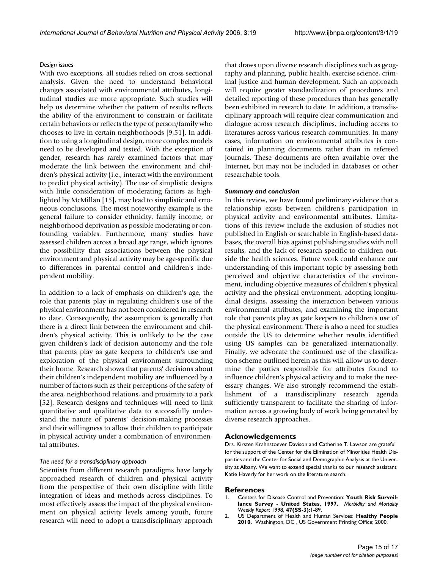#### *Design issues*

With two exceptions, all studies relied on cross sectional analysis. Given the need to understand behavioral changes associated with environmental attributes, longitudinal studies are more appropriate. Such studies will help us determine whether the pattern of results reflects the ability of the environment to constrain or facilitate certain behaviors or reflects the type of person/family who chooses to live in certain neighborhoods [9,51]. In addition to using a longitudinal design, more complex models need to be developed and tested. With the exception of gender, research has rarely examined factors that may moderate the link between the environment and children's physical activity (i.e., interact with the environment to predict physical activity). The use of simplistic designs with little consideration of moderating factors as highlighted by McMillan [15], may lead to simplistic and erroneous conclusions. The most noteworthy example is the general failure to consider ethnicity, family income, or neighborhood deprivation as possible moderating or confounding variables. Furthermore, many studies have assessed children across a broad age range, which ignores the possibility that associations between the physical environment and physical activity may be age-specific due to differences in parental control and children's independent mobility.

In addition to a lack of emphasis on children's age, the role that parents play in regulating children's use of the physical environment has not been considered in research to date. Consequently, the assumption is generally that there is a direct link between the environment and children's physical activity. This is unlikely to be the case given children's lack of decision autonomy and the role that parents play as gate keepers to children's use and exploration of the physical environment surrounding their home. Research shows that parents' decisions about their children's independent mobility are influenced by a number of factors such as their perceptions of the safety of the area, neighborhood relations, and proximity to a park [52]. Research designs and techniques will need to link quantitative and qualitative data to successfully understand the nature of parents' decision-making processes and their willingness to allow their children to participate in physical activity under a combination of environmental attributes.

#### *The need for a transdisciplinary approach*

Scientists from different research paradigms have largely approached research of children and physical activity from the perspective of their own discipline with little integration of ideas and methods across disciplines. To most effectively assess the impact of the physical environment on physical activity levels among youth, future research will need to adopt a transdisciplinary approach

that draws upon diverse research disciplines such as geography and planning, public health, exercise science, criminal justice and human development. Such an approach will require greater standardization of procedures and detailed reporting of these procedures than has generally been exhibited in research to date. In addition, a transdisciplinary approach will require clear communication and dialogue across research disciplines, including access to literatures across various research communities. In many cases, information on environmental attributes is contained in planning documents rather than in refereed journals. These documents are often available over the Internet, but may not be included in databases or other researchable tools.

#### *Summary and conclusion*

In this review, we have found preliminary evidence that a relationship exists between children's participation in physical activity and environmental attributes. Limitations of this review include the exclusion of studies not published in English or searchable in English-based databases, the overall bias against publishing studies with null results, and the lack of research specific to children outside the health sciences. Future work could enhance our understanding of this important topic by assessing both perceived and objective characteristics of the environment, including objective measures of children's physical activity and the physical environment, adopting longitudinal designs, assessing the interaction between various environmental attributes, and examining the important role that parents play as gate keepers to children's use of the physical environment. There is also a need for studies outside the US to determine whether results identified using US samples can be generalized internationally. Finally, we advocate the continued use of the classification scheme outlined herein as this will allow us to determine the parties responsible for attributes found to influence children's physical activity and to make the necessary changes. We also strongly recommend the establishment of a transdisciplinary research agenda sufficiently transparent to facilitate the sharing of information across a growing body of work being generated by diverse research approaches.

#### **Acknowledgements**

Drs. Kirsten Krahnstoever Davison and Catherine T. Lawson are grateful for the support of the Center for the Elimination of Minorities Health Disparities and the Center for Social and Demographic Analysis at the University at Albany. We want to extend special thanks to our research assistant Katie Haverly for her work on the literature search.

#### **References**

- 1. Centers for Disease Control and Prevention: **Youth Risk Surveillance Survey - United States, 1997.** *Morbidity and Mortality Weekly Report* 1998, **47(SS-3):**1-89.
- 2. US Department of Health and Human Services: **Healthy People 2010.** Washington, DC , US Government Printing Office; 2000.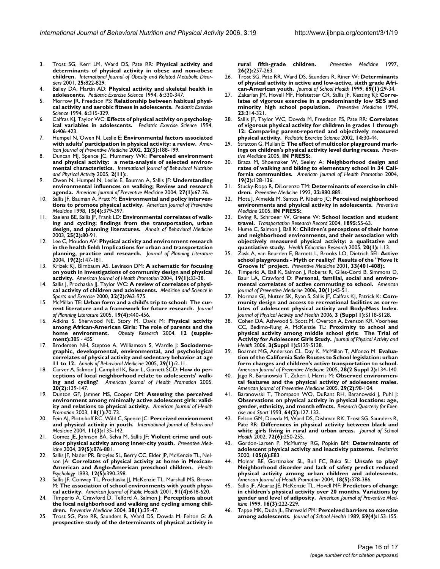- 3. Trost SG, Kerr LM, Ward DS, Pate RR: **Physical activity and determinants of physical activity in obese and non-obese children.** *International Journal of Obesity and Related Metabolic Disorders* 2001, **25:**822-829.
- 4. Bailey DA, Martin AD: **Physical activity and skeletal health in adolescents.** *Pediatric Exercise Science* 1994, **6:**330-347.
- 5. Morrow JR, Freedson PS: **Relationship between habitual physical activity and aerobic fitness in adolescents.** *Pediatric Exercise Science* 1994, **6:**315-329.
- 6. Calfras KJ, Taylor WC: **Effects of physical activity on psychological variables in adolescents.** *Pediatric Exercise Science* 1994, **6:**406-423.
- 7. Humpel N, Owen N, Leslie E: **[Environmental factors associated](http://www.ncbi.nlm.nih.gov/entrez/query.fcgi?cmd=Retrieve&db=PubMed&dopt=Abstract&list_uids=11897464) [with adults' participation in physical activity: a review.](http://www.ncbi.nlm.nih.gov/entrez/query.fcgi?cmd=Retrieve&db=PubMed&dopt=Abstract&list_uids=11897464)** *American Journal of Preventive Medicine* 2002, **22(3):**188-199.
- 8. Duncan MJ, Spence JC, Mummery WK: **Perceived environment and physical activity: a meta-analysis of selected environmental characteristics.** *International Journal of Behavioral Nutrition and Physical Activity* 2005, **2(11):**.
- 9. Owen N, Humpel N, Leslie E, Bauman A, Sallis JF: **[Understanding](http://www.ncbi.nlm.nih.gov/entrez/query.fcgi?cmd=Retrieve&db=PubMed&dopt=Abstract&list_uids=15212778) [environmental influences on walking; Review and research](http://www.ncbi.nlm.nih.gov/entrez/query.fcgi?cmd=Retrieve&db=PubMed&dopt=Abstract&list_uids=15212778) [agenda.](http://www.ncbi.nlm.nih.gov/entrez/query.fcgi?cmd=Retrieve&db=PubMed&dopt=Abstract&list_uids=15212778)** *American Journal of Preventive Medicine* 2004, **27(1):**67-76.
- 10. Sallis JF, Bauman A, Pratt M: **[Environmental and policy interven](http://www.ncbi.nlm.nih.gov/entrez/query.fcgi?cmd=Retrieve&db=PubMed&dopt=Abstract&list_uids=9838979)[tions to promote physical activity.](http://www.ncbi.nlm.nih.gov/entrez/query.fcgi?cmd=Retrieve&db=PubMed&dopt=Abstract&list_uids=9838979)** *American Journal of Preventive Medicine* 1998, **15(4):**379-397.
- Saelens BE, Sallis JF, Frank LD: **[Environmental correlates of walk](http://www.ncbi.nlm.nih.gov/entrez/query.fcgi?cmd=Retrieve&db=PubMed&dopt=Abstract&list_uids=12704009)[ing and cycling: findings from the transportation, urban](http://www.ncbi.nlm.nih.gov/entrez/query.fcgi?cmd=Retrieve&db=PubMed&dopt=Abstract&list_uids=12704009) [design, and planning literatures.](http://www.ncbi.nlm.nih.gov/entrez/query.fcgi?cmd=Retrieve&db=PubMed&dopt=Abstract&list_uids=12704009)** *Annals of Behavioral Medicine* 2003, **25(2):**80-91.
- 12. Lee C, Moudon AV: **Physical activity and environment research in the health field: Implications for urban and transportation planning, practice and research.** *Journal of Planning Literature* 2004, **19(2):**147-181.
- 13. Krizek KJ, Birnbaum AS, Levinson DM: **[A schematic for focusing](http://www.ncbi.nlm.nih.gov/entrez/query.fcgi?cmd=Retrieve&db=PubMed&dopt=Abstract&list_uids=15460099) [on youth in investigations of community design and physical](http://www.ncbi.nlm.nih.gov/entrez/query.fcgi?cmd=Retrieve&db=PubMed&dopt=Abstract&list_uids=15460099) [activity.](http://www.ncbi.nlm.nih.gov/entrez/query.fcgi?cmd=Retrieve&db=PubMed&dopt=Abstract&list_uids=15460099)** *American Journal of Health Promotion* 2004, **19(1):**33-38.
- 14. Sallis J, Prochaska JJ, Taylor WC: **A review of correlates of physical activity of children and adolescents.** *Medicine and Science in Sports and Exercise* 2000, **32(2):**963-975.
- 15. McMillan TE: **Urban form and a child's trip to school: The current literature and a framework for future research.** *Journal of Planning Literature* 2005, **19(4):**440-456.
- 16. Adkins S, Sherwood NE, Story M, Davis M: **Physical activity among African-American Girls: The role of parents and the home environment.** *Obesity Research* 2004, **12 (supplement):**38S - 45S.
- 17. Brodersen NH, Steptoe A, Williamson S, Wardle J: **[Sociodemo](http://www.ncbi.nlm.nih.gov/entrez/query.fcgi?cmd=Retrieve&db=PubMed&dopt=Abstract&list_uids=15677295)[graphic, developmental, environmental, and psychological](http://www.ncbi.nlm.nih.gov/entrez/query.fcgi?cmd=Retrieve&db=PubMed&dopt=Abstract&list_uids=15677295) correlates of physical activity and sedentary behavior at age [11 to 12.](http://www.ncbi.nlm.nih.gov/entrez/query.fcgi?cmd=Retrieve&db=PubMed&dopt=Abstract&list_uids=15677295)** *Annals of Behavioral Medicine* 2005, **29(1):**2-11.
- 18. Carver A, Salmon J, Campbell K, Baur L, Garnett SCD: **[How do per](http://www.ncbi.nlm.nih.gov/entrez/query.fcgi?cmd=Retrieve&db=PubMed&dopt=Abstract&list_uids=16295706)[ceptions of local neighborhood relate to adolescents' walk](http://www.ncbi.nlm.nih.gov/entrez/query.fcgi?cmd=Retrieve&db=PubMed&dopt=Abstract&list_uids=16295706)[ing and cycling?](http://www.ncbi.nlm.nih.gov/entrez/query.fcgi?cmd=Retrieve&db=PubMed&dopt=Abstract&list_uids=16295706)** *American Journal of Health Promotion* 2005, **20(2):**139-147.
- 19. Dunton GF, Jamner MS, Cooper DM: **[Assessing the perceived](http://www.ncbi.nlm.nih.gov/entrez/query.fcgi?cmd=Retrieve&db=PubMed&dopt=Abstract&list_uids=13677964) [environment among minimally active adolescent girls: valid](http://www.ncbi.nlm.nih.gov/entrez/query.fcgi?cmd=Retrieve&db=PubMed&dopt=Abstract&list_uids=13677964)[ity and relations to physical activity.](http://www.ncbi.nlm.nih.gov/entrez/query.fcgi?cmd=Retrieve&db=PubMed&dopt=Abstract&list_uids=13677964)** *American Journal of Health Promotion* 2003, **18(1):**70-73.
- 20. Fein AJ, Plotnikoff RC, Wild C, Spence JC: **[Perceived environment](http://www.ncbi.nlm.nih.gov/entrez/query.fcgi?cmd=Retrieve&db=PubMed&dopt=Abstract&list_uids=15496341) [and physical activity in youth.](http://www.ncbi.nlm.nih.gov/entrez/query.fcgi?cmd=Retrieve&db=PubMed&dopt=Abstract&list_uids=15496341)** *International Journal of Behavioral Medicine* 2004, **11(3):**135-142.
- 21. Gomez JE, Johnson BA, Selva M, Sallis JF: **[Violent crime and out](http://www.ncbi.nlm.nih.gov/entrez/query.fcgi?cmd=Retrieve&db=PubMed&dopt=Abstract&list_uids=15475019)[door physical activity among inner-city youth.](http://www.ncbi.nlm.nih.gov/entrez/query.fcgi?cmd=Retrieve&db=PubMed&dopt=Abstract&list_uids=15475019)** *Preventive Medicine* 2004, **39(5):**876-881.
- 22. Sallis JF, Nader PR, Broyles SL, Berry CC, Elder JP, McKenzie TL, Nelson JA: **[Correlates of physical activity at home in Mexican-](http://www.ncbi.nlm.nih.gov/entrez/query.fcgi?cmd=Retrieve&db=PubMed&dopt=Abstract&list_uids=8223363)[American and Anglo-American preschool children.](http://www.ncbi.nlm.nih.gov/entrez/query.fcgi?cmd=Retrieve&db=PubMed&dopt=Abstract&list_uids=8223363)** *Health Psychology* 1993, **12(5):**390-398.
- 23. Sallis JF, Conway TL, Prochaska JJ, McKenzie TL, Marshall MS, Brown M: **[The association of school environments with youth physi](http://www.ncbi.nlm.nih.gov/entrez/query.fcgi?cmd=Retrieve&db=PubMed&dopt=Abstract&list_uids=11291375)[cal activity.](http://www.ncbi.nlm.nih.gov/entrez/query.fcgi?cmd=Retrieve&db=PubMed&dopt=Abstract&list_uids=11291375)** *American Journal of Public Health* 2001, **91(4):**618-620.
- 24. Timperio A, Crawford D, Telford A, Salmon J: **[Perceptions about](http://www.ncbi.nlm.nih.gov/entrez/query.fcgi?cmd=Retrieve&db=PubMed&dopt=Abstract&list_uids=14672640) [the local neighborhood and walking and cycling among chil](http://www.ncbi.nlm.nih.gov/entrez/query.fcgi?cmd=Retrieve&db=PubMed&dopt=Abstract&list_uids=14672640)[dren.](http://www.ncbi.nlm.nih.gov/entrez/query.fcgi?cmd=Retrieve&db=PubMed&dopt=Abstract&list_uids=14672640)** *Preventive Medicine* 2004, **38(1):**39-47.
- 25. Trost SG, Pate RR, Saunders R, Ward DS, Dowda M, Felton G: **[A](http://www.ncbi.nlm.nih.gov/entrez/query.fcgi?cmd=Retrieve&db=PubMed&dopt=Abstract&list_uids=9085396) [prospective study of the determinants of physical activity in](http://www.ncbi.nlm.nih.gov/entrez/query.fcgi?cmd=Retrieve&db=PubMed&dopt=Abstract&list_uids=9085396)**

**[rural fifth-grade children.](http://www.ncbi.nlm.nih.gov/entrez/query.fcgi?cmd=Retrieve&db=PubMed&dopt=Abstract&list_uids=9085396)** *Preventive Medicine* 1997, **26(2):**257-263.

- 26. Trost SG, Pate RR, Ward DS, Saunders R, Riner W: **[Determinants](http://www.ncbi.nlm.nih.gov/entrez/query.fcgi?cmd=Retrieve&db=PubMed&dopt=Abstract&list_uids=10098116) [of physical activity in active and low-active, sixth grade Afri](http://www.ncbi.nlm.nih.gov/entrez/query.fcgi?cmd=Retrieve&db=PubMed&dopt=Abstract&list_uids=10098116)[can-American youth.](http://www.ncbi.nlm.nih.gov/entrez/query.fcgi?cmd=Retrieve&db=PubMed&dopt=Abstract&list_uids=10098116)** *Journal of School Health* 1999, **69(1):**29-34.
- 27. Zakarian JM, Hovell MF, Hofstetter CR, Sallis JF, Keating KJ: **[Corre](http://www.ncbi.nlm.nih.gov/entrez/query.fcgi?cmd=Retrieve&db=PubMed&dopt=Abstract&list_uids=8078852)[lates of vigorous exercise in a predominantly low SES and](http://www.ncbi.nlm.nih.gov/entrez/query.fcgi?cmd=Retrieve&db=PubMed&dopt=Abstract&list_uids=8078852) [minority high school population.](http://www.ncbi.nlm.nih.gov/entrez/query.fcgi?cmd=Retrieve&db=PubMed&dopt=Abstract&list_uids=8078852)** *Preventive Medicine* 1994, **23:**314-321.
- 28. Sallis JF, Taylor WC, Dowda M, Freedson PS, Pate RR: **Correlates of vigorous physical activity for children in grades 1 through 12: Comparing parent-reported and objectively measured physical activity.** *Pediatric Exercise Science* 2002, **14:**30-44.
- 29. Stratton G, Mullan E: **The effect of multicolor playground markings on children's physical activity level during recess.** *Preventive Medicine* 2005, **IN PRESS:**.
- Braza M, Shoemaker W, Seeley A: [Neighborhood design and](http://www.ncbi.nlm.nih.gov/entrez/query.fcgi?cmd=Retrieve&db=PubMed&dopt=Abstract&list_uids=15559713) **[rates of walking and biking to elementary school in 34 Cali](http://www.ncbi.nlm.nih.gov/entrez/query.fcgi?cmd=Retrieve&db=PubMed&dopt=Abstract&list_uids=15559713)[fornia communities.](http://www.ncbi.nlm.nih.gov/entrez/query.fcgi?cmd=Retrieve&db=PubMed&dopt=Abstract&list_uids=15559713)** *American Journal of Health Promotion* 2004, **19(2):**128-136.
- 31. Stucky-Ropp R, DiLorenzo TM: **[Determinants of exercise in chil](http://www.ncbi.nlm.nih.gov/entrez/query.fcgi?cmd=Retrieve&db=PubMed&dopt=Abstract&list_uids=8115345)[dren.](http://www.ncbi.nlm.nih.gov/entrez/query.fcgi?cmd=Retrieve&db=PubMed&dopt=Abstract&list_uids=8115345)** *Preventive Medicine* 1993, **22:**880-889.
- 32. Mota J, Almeida M, Santos P, Ribeiro JC: **Perceived neighborhood environments and physical activity in adolescents.** *Preventive Medicine* 2005, **IN PRESS:**.
- 33. Ewing R, Schroeer W, Greene W: **School location and student travel.** *Transportation Research Record* 2004, **1895:**55-63.
- 34. Hume C, Salmon J, Ball K: **[Children's perceptions of their home](http://www.ncbi.nlm.nih.gov/entrez/query.fcgi?cmd=Retrieve&db=PubMed&dopt=Abstract&list_uids=15253992) [and neighborhood environments, and their association with](http://www.ncbi.nlm.nih.gov/entrez/query.fcgi?cmd=Retrieve&db=PubMed&dopt=Abstract&list_uids=15253992) objectively measured physical activity: a qualitative and [quantiative study.](http://www.ncbi.nlm.nih.gov/entrez/query.fcgi?cmd=Retrieve&db=PubMed&dopt=Abstract&list_uids=15253992)** *Health Education Research* 2005, **20(1):**1-13.
- 35. Zask A, van Beurden E, Barnett L, Brooks LO, Dietrich SEI: **[Active](http://www.ncbi.nlm.nih.gov/entrez/query.fcgi?cmd=Retrieve&db=PubMed&dopt=Abstract&list_uids=11676580) [school playgrounds - Myth or reality? Results of the "Move It](http://www.ncbi.nlm.nih.gov/entrez/query.fcgi?cmd=Retrieve&db=PubMed&dopt=Abstract&list_uids=11676580) [Groove It" project.](http://www.ncbi.nlm.nih.gov/entrez/query.fcgi?cmd=Retrieve&db=PubMed&dopt=Abstract&list_uids=11676580)** *Preventive Medicine* 2001, **33(401-408):**.
- 36. Timperio A, Ball K, Salmon J, Roberts R, Giles-Corti B, Simmons D, Baur LA, Crawford D: **[Personal, familial, social and environ](http://www.ncbi.nlm.nih.gov/entrez/query.fcgi?cmd=Retrieve&db=PubMed&dopt=Abstract&list_uids=16414423)[mental correlates of active commuting to school.](http://www.ncbi.nlm.nih.gov/entrez/query.fcgi?cmd=Retrieve&db=PubMed&dopt=Abstract&list_uids=16414423)** *American Journal of Preventive Medicine* 2006, **30(1):**45-51.
- 37. Norman GJ, Nutter SK, Ryan S, Sallis JF, Calfras KJ, Patrick K: **Community design and access to recreational facilities as correlates of adolescent physical activity and Body-Mass Index.** *Journal of Physical Activity and Health* 2006, **3 (Suppl 1):**S118-S128.
- 38. Cohen DA, Ashwood S, Scott M, Overton A, Evenson KR, Voorhees CC, Bedimo-Rung A, McKenzie TL: **Proximity to school and physical activity among middle school girls: The Trial of Activity for Adolescent Girls Study.** *Journal of Physical Activity and Health* 2006, **3(Suppl 1):**S129-S138.
- 39. Boarnet MG, Anderson CL, Day K, McMillan T, Alfonzo M: **[Evalua](http://www.ncbi.nlm.nih.gov/entrez/query.fcgi?cmd=Retrieve&db=PubMed&dopt=Abstract&list_uids=15694521)tion of the California Safe Routes to School legislation: urban [form changes and children's active transportation to school.](http://www.ncbi.nlm.nih.gov/entrez/query.fcgi?cmd=Retrieve&db=PubMed&dopt=Abstract&list_uids=15694521)** *American Journal of Preventive Medicine* 2005, **28(2 Suppl 2):**134-140.
- 40. Jago R, Baranowski T, Zakeri I, Harris M: **[Observed environmen](http://www.ncbi.nlm.nih.gov/entrez/query.fcgi?cmd=Retrieve&db=PubMed&dopt=Abstract&list_uids=16005805)[tal features and the physical activity of adolescent males.](http://www.ncbi.nlm.nih.gov/entrez/query.fcgi?cmd=Retrieve&db=PubMed&dopt=Abstract&list_uids=16005805)** *American Journal of Preventive Medicine* 2005, **29(2):**98-104.
- 41. Baranowski T, Thompson WO, DuRant RH, Baranowski J, Puhl J: **Observations on physical activity in physical locations: age, gender, ethnicity, and month effects.** *Research Quarterly for Exercise and Sport* 1993, **64(2):**127-133.
- 42. Felton GM, Dowda M, Ward DS, Dishman RK, Trost SG, Saunders R, Pate RR: **[Differences in physical activity between black and](http://www.ncbi.nlm.nih.gov/entrez/query.fcgi?cmd=Retrieve&db=PubMed&dopt=Abstract&list_uids=12212410) [white girls living in rural and urban areas.](http://www.ncbi.nlm.nih.gov/entrez/query.fcgi?cmd=Retrieve&db=PubMed&dopt=Abstract&list_uids=12212410)** *Journal of School Health* 2002, **72(6):**250-255.
- 43. Gordon-Larsen P, McMurray RG, Popkin BM: **[Determinants of](http://www.ncbi.nlm.nih.gov/entrez/query.fcgi?cmd=Retrieve&db=PubMed&dopt=Abstract&list_uids=10835096) [adolescent physical activity and inactivity patterns.](http://www.ncbi.nlm.nih.gov/entrez/query.fcgi?cmd=Retrieve&db=PubMed&dopt=Abstract&list_uids=10835096)** *Pediatrics* 2000, **105(6):**E83.
- 44. Molnar BE, Gortmaker SL, Bull FC, Buka SL: **[Unsafe to play?](http://www.ncbi.nlm.nih.gov/entrez/query.fcgi?cmd=Retrieve&db=PubMed&dopt=Abstract&list_uids=15163139) [Neighborhood disorder and lack of safety predict reduced](http://www.ncbi.nlm.nih.gov/entrez/query.fcgi?cmd=Retrieve&db=PubMed&dopt=Abstract&list_uids=15163139) physical activity among urban children and adolescents.** *American Journal of Health Promotion* 2004, **18(5):**378-386.
- 45. Sallis JF, Alcaraz JE, McKenzie TL, Hovell MF: **[Predictors of change](http://www.ncbi.nlm.nih.gov/entrez/query.fcgi?cmd=Retrieve&db=PubMed&dopt=Abstract&list_uids=10198662) [in children's physical activity over 20 months. Variations by](http://www.ncbi.nlm.nih.gov/entrez/query.fcgi?cmd=Retrieve&db=PubMed&dopt=Abstract&list_uids=10198662) [gender and level of adiposity.](http://www.ncbi.nlm.nih.gov/entrez/query.fcgi?cmd=Retrieve&db=PubMed&dopt=Abstract&list_uids=10198662)** *American Journal of Preventive Medicine* 1999, **16(3):**222-229.
- 46. Tappe MK, Duda JL, Ehrnwald PM: **[Perceived barriers to exercise](http://www.ncbi.nlm.nih.gov/entrez/query.fcgi?cmd=Retrieve&db=PubMed&dopt=Abstract&list_uids=2716290) [among adolescents.](http://www.ncbi.nlm.nih.gov/entrez/query.fcgi?cmd=Retrieve&db=PubMed&dopt=Abstract&list_uids=2716290)** *Journal of School Health* 1989, **59(4):**153-155.